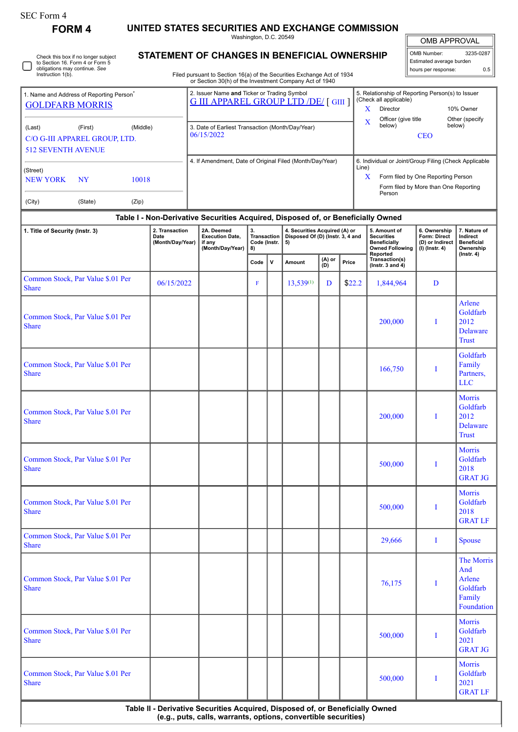| SEC Form 4 |  |
|------------|--|
|------------|--|

**FORM 4 UNITED STATES SECURITIES AND EXCHANGE COMMISSION**

Washington, D.C. 20549

|  | Check this box if no longer subject<br>to Section 16. Form 4 or Form 5<br>obligations may continue. See<br>Instruction 1(b). |
|--|------------------------------------------------------------------------------------------------------------------------------|
|--|------------------------------------------------------------------------------------------------------------------------------|

## **STATEMENT OF CHANGES IN BENEFICIAL OWNERSHIP**

Filed pursuant to Section 16(a) of the Securities Exchange Act of 1934 or Section 30(h) of the Investment Company Act of 1940

| <b>OMB APPROVAL</b> |  |
|---------------------|--|
|                     |  |
|                     |  |

OMB Number: 3235-0287 Estimated average burden hours per response: 0.5

|                                                                                |           |          | or occupit both or the investment company Act or 1940                                      |                                                                            |                                                       |                           |  |  |
|--------------------------------------------------------------------------------|-----------|----------|--------------------------------------------------------------------------------------------|----------------------------------------------------------------------------|-------------------------------------------------------|---------------------------|--|--|
| 1. Name and Address of Reporting Person <sup>®</sup><br><b>GOLDFARB MORRIS</b> |           |          | 2. Issuer Name and Ticker or Trading Symbol<br><b>G III APPAREL GROUP LTD /DE/ [GIII ]</b> | 5. Relationship of Reporting Person(s) to Issuer<br>(Check all applicable) |                                                       |                           |  |  |
|                                                                                |           |          |                                                                                            | X                                                                          | Director                                              | 10% Owner                 |  |  |
|                                                                                |           |          |                                                                                            | X                                                                          | Officer (give title)<br>below)                        | Other (specify)<br>below) |  |  |
| (Last)                                                                         | (First)   | (Middle) | 3. Date of Earliest Transaction (Month/Day/Year)                                           |                                                                            |                                                       |                           |  |  |
| C/O G-III APPAREL GROUP, LTD.                                                  |           |          | 06/15/2022                                                                                 | <b>CEO</b>                                                                 |                                                       |                           |  |  |
| <b>512 SEVENTH AVENUE</b>                                                      |           |          |                                                                                            |                                                                            |                                                       |                           |  |  |
|                                                                                |           |          | 4. If Amendment, Date of Original Filed (Month/Day/Year)                                   |                                                                            | 6. Individual or Joint/Group Filing (Check Applicable |                           |  |  |
| (Street)                                                                       |           |          |                                                                                            | Line)                                                                      |                                                       |                           |  |  |
| <b>NEW YORK</b>                                                                | <b>NY</b> | 10018    |                                                                                            | X                                                                          | Form filed by One Reporting Person                    |                           |  |  |
|                                                                                |           |          |                                                                                            |                                                                            | Form filed by More than One Reporting<br>Person       |                           |  |  |
| (City)                                                                         | (State)   | (Zip)    |                                                                                            |                                                                            |                                                       |                           |  |  |

## **Table I - Non-Derivative Securities Acquired, Disposed of, or Beneficially Owned**

| 1. Title of Security (Instr. 3)                   | 2. Transaction<br>Date<br>(Month/Day/Year) | 2A. Deemed<br><b>Execution Date.</b><br>if any<br>(Month/Day/Year) | 3.<br><b>Transaction</b><br>Code (Instr.<br>8) |             | 4. Securities Acquired (A) or<br>Disposed Of (D) (Instr. 3, 4 and<br>5) |                        |        | 5. Amount of<br><b>Securities</b><br><b>Beneficially</b><br><b>Owned Following</b> | 6. Ownership<br>Form: Direct<br>(D) or Indirect<br>$(I)$ (Instr. 4) | 7. Nature of<br>Indirect<br><b>Beneficial</b><br>Ownership           |  |
|---------------------------------------------------|--------------------------------------------|--------------------------------------------------------------------|------------------------------------------------|-------------|-------------------------------------------------------------------------|------------------------|--------|------------------------------------------------------------------------------------|---------------------------------------------------------------------|----------------------------------------------------------------------|--|
|                                                   |                                            |                                                                    | Code                                           | $\mathbf v$ | Amount                                                                  | (A) or<br>(D)<br>Price |        | Reported<br>Transaction(s)<br>(Instr. 3 and $4$ )                                  |                                                                     | $($ Instr. 4 $)$                                                     |  |
| Common Stock, Par Value \$.01 Per<br><b>Share</b> | 06/15/2022                                 |                                                                    | $\mathbf F$                                    |             | $13,539^{(1)}$                                                          | D                      | \$22.2 | 1,844,964                                                                          | D                                                                   |                                                                      |  |
| Common Stock, Par Value \$.01 Per<br><b>Share</b> |                                            |                                                                    |                                                |             |                                                                         |                        |        | 200,000                                                                            | I                                                                   | Arlene<br>Goldfarb<br>2012<br><b>Delaware</b><br><b>Trust</b>        |  |
| Common Stock, Par Value \$.01 Per<br><b>Share</b> |                                            |                                                                    |                                                |             |                                                                         |                        |        | 166,750                                                                            | I                                                                   | Goldfarb<br>Family<br>Partners,<br><b>LLC</b>                        |  |
| Common Stock, Par Value \$.01 Per<br><b>Share</b> |                                            |                                                                    |                                                |             |                                                                         |                        |        | 200,000                                                                            | I                                                                   | <b>Morris</b><br>Goldfarb<br>2012<br><b>Delaware</b><br><b>Trust</b> |  |
| Common Stock, Par Value \$.01 Per<br><b>Share</b> |                                            |                                                                    |                                                |             |                                                                         |                        |        | 500,000                                                                            | I                                                                   | Morris<br>Goldfarb<br>2018<br><b>GRAT JG</b>                         |  |
| Common Stock, Par Value \$.01 Per<br><b>Share</b> |                                            |                                                                    |                                                |             |                                                                         |                        |        | 500,000                                                                            | I                                                                   | <b>Morris</b><br>Goldfarb<br>2018<br><b>GRAT LF</b>                  |  |
| Common Stock, Par Value \$.01 Per<br><b>Share</b> |                                            |                                                                    |                                                |             |                                                                         |                        |        | 29,666                                                                             | I                                                                   | <b>Spouse</b>                                                        |  |
| Common Stock, Par Value \$.01 Per<br><b>Share</b> |                                            |                                                                    |                                                |             |                                                                         |                        |        | 76,175                                                                             | I                                                                   | The Morris<br>And<br>Arlene<br>Goldfarb<br>Family<br>Foundation      |  |
| Common Stock, Par Value \$.01 Per<br><b>Share</b> |                                            |                                                                    |                                                |             |                                                                         |                        |        | 500,000                                                                            | I                                                                   | <b>Morris</b><br>Goldfarb<br>2021<br><b>GRAT JG</b>                  |  |
| Common Stock, Par Value \$.01 Per<br><b>Share</b> |                                            |                                                                    |                                                |             |                                                                         |                        |        | 500,000                                                                            | I                                                                   | <b>Morris</b><br>Goldfarb<br>2021<br><b>GRAT LF</b>                  |  |

**Table II - Derivative Securities Acquired, Disposed of, or Beneficially Owned (e.g., puts, calls, warrants, options, convertible securities)**